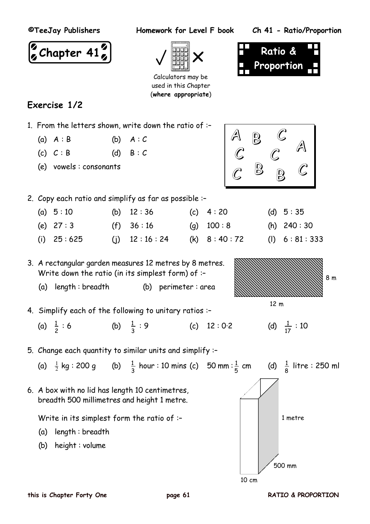**©TeeJay Publishers Homework for Level F book Ch 41 - Ratio/Proportion**







 $B\downarrow G$ 

 $\mathcal C$ 

A

Calculators may be used in this Chapter (**where appropriate**)

# **Exercise 1/2**

- 1. From the letters shown, write down the ratio of :–
	- (a)  $A : B$  (b)  $A : C$
	- (c)  $C : B$  (d)  $B : C$
	- (e) vowels : consonants



(i)  $25 : 625$  (i)  $12 : 16 : 24$  (k)  $8 : 40 : 72$  (l)  $6 : 81 : 333$ 

3. A rectangular garden measures 12 metres by 8 metres. Write down the ratio (in its simplest form) of :–

- (a) length : breadth (b) perimeter : area
- 4. Simplify each of the following to unitary ratios :–
	- (a)  $\frac{1}{2}$  : 6 (b)  $\frac{1}{3}$  $\frac{1}{3}$  : 9 (c)  $12:0.2$
- 5. Change each quantity to similar units and simplify :–

(a) 
$$
\frac{1}{2}
$$
 kg : 200 g (b)  $\frac{1}{3}$  hour : 10 mins (c) 50 mm :  $\frac{1}{5}$  cm (d)  $\frac{1}{8}$  litre : 250 ml  
6. A box with no lid has length 10 centimetres,  
breadth 500 millimetres and height 1 metre.  
Write in its simplest form the ratio of :-  
(a) length : breadth

(b) height : volume



500 mm

10 cm

(d)  $\frac{1}{17} : 10$ 

8 m

12 m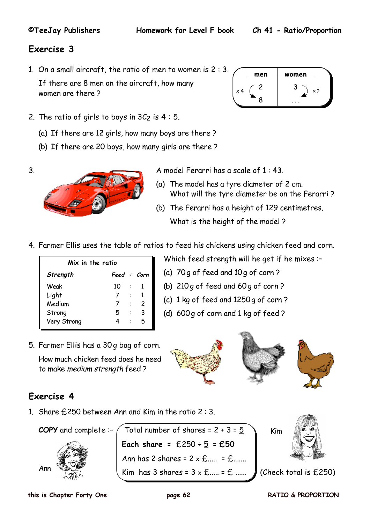**men women**

2 3

8 **...**  $\times$  4 (  $-$  )  $\rightarrow$  )  $\times$  ?

## **Exercise 3**

1. On a small aircraft, the ratio of men to women is 2 : 3.

If there are 8 men on the aircraft, how many women are there ?



- (a) If there are 12 girls, how many boys are there ?
- (b) If there are 20 boys, how many girls are there ?

3. A model Ferarri has a scale of 1 : 43.

- (a) The model has a tyre diameter of 2 cm. What will the tyre diameter be on the Ferarri ?
- (b) The Ferarri has a height of 129 centimetres. What is the height of the model ?
- 4. Farmer Ellis uses the table of ratios to feed his chickens using chicken feed and corn.

| Mix in the ratio |             |                |   |  |  |  |  |  |  |
|------------------|-------------|----------------|---|--|--|--|--|--|--|
| Strength         | Feed : Corn |                |   |  |  |  |  |  |  |
| Weak             | 10          | $\ddot{\cdot}$ |   |  |  |  |  |  |  |
| Light            |             | $\ddot{\cdot}$ |   |  |  |  |  |  |  |
| Medium           |             |                | 2 |  |  |  |  |  |  |
| Strong           | 5           |                | 3 |  |  |  |  |  |  |
| Very Strong      |             |                | 5 |  |  |  |  |  |  |

Which feed strength will he get if he mixes :–

- (a) 70g of feed and 10g of corn ?
- (b) 210g of feed and 60g of corn ?
- (c) 1 kg of feed and 1250g of corn ?
- (d) 600g of corn and 1 kg of feed ?
- 5. Farmer Ellis has a 30g bag of corn.

How much chicken feed does he need to make medium strength feed ?





# **Exercise 4**

1. Share £250 between Ann and Kim in the ratio 2 : 3.

**COPY** and complete :-  $\diagup$  Total number of shares = 2 + 3 =  $\frac{5}{2}$ **Each share** =  $£250 \div 5 = £50$ Ann has 2 shares =  $2 \times \text{E}$ ..... =  $\text{E}$ ...... Kim has 3 shares =  $3 \times \text{£}$ .....  $\bullet$  (Check total is £250) Ann Kim

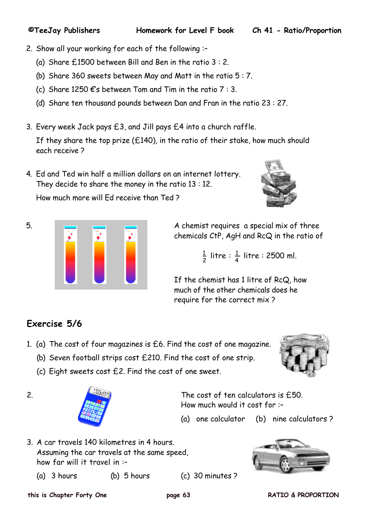**©TeeJay Publishers Homework for Level F book Ch 41 - Ratio/Proportion**

- 2. Show all your working for each of the following :–
	- (a) Share £1500 between Bill and Ben in the ratio 3 : 2.
	- (b) Share 360 sweets between May and Matt in the ratio 5 : 7.
	- (c) Share 1250  $\epsilon$ 's between Tom and Tim in the ratio 7 : 3.
	- (d) Share ten thousand pounds between Dan and Fran in the ratio 23 : 27.
- 3. Every week Jack pays £3, and Jill pays £4 into a church raffle.

If they share the top prize  $(E140)$ , in the ratio of their stake, how much should each receive ?

4. Ed and Ted win half a million dollars on an internet lottery. They decide to share the money in the ratio 13 : 12.

How much more will Ed receive than Ted ?



5. A chemist requires a special mix of three chemicals CtP, AgH and RcQ in the ratio of

 <sup>1</sup>  $\frac{1}{2}$  litre :  $\frac{1}{4}$  litre : 2500 ml.

> If the chemist has 1 litre of RcQ, how much of the other chemicals does he require for the correct mix ?

# **Exercise 5/6**

- 1. (a) The cost of four magazines is £6. Find the cost of one magazine.
	- (b) Seven football strips cost £210. Find the cost of one strip.
	- (c) Eight sweets cost £2. Find the cost of one sweet.



2. The cost of ten calculators is £50. How much would it cost for :–

- (a) one calculator (b) nine calculators ?
- 3. A car travels 140 kilometres in 4 hours. Assuming the car travels at the same speed, how far will it travel in :–
	- (a) 3 hours (b) 5 hours (c) 30 minutes ?



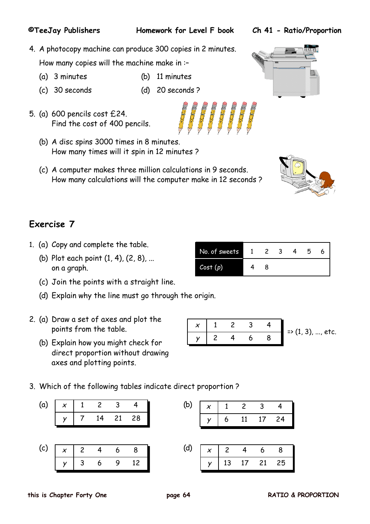### **this is Chapter Forty One page 64 RATIO & PROPORTION**

4. A photocopy machine can produce 300 copies in 2 minutes.

How many copies will the machine make in :–

- (a) 3 minutes (b) 11 minutes
- (c) 30 seconds (d) 20 seconds ?
- 5. (a) 600 pencils cost £24. Find the cost of 400 pencils.
	- (b) A disc spins 3000 times in 8 minutes. How many times will it spin in 12 minutes ?
	- (c) A computer makes three million calculations in 9 seconds. How many calculations will the computer make in 12 seconds ?

# **Exercise 7**

- 1. (a) Copy and complete the table.
	- (b) Plot each point (1, 4), (2, 8), ... on a graph.
	- (c) Join the points with a straight line.
	- (d) Explain why the line must go through the origin.
- 2. (a) Draw a set of axes and plot the points from the table.
	- (b) Explain how you might check for direct proportion without drawing axes and plotting points.

y 3 6 9 12

3. Which of the following tables indicate direct proportion ?

|  |  | (a) $\begin{array}{ c c c c c c }\n\hline\nx & 1 & 2 & 3 & 4\n\end{array}$ |                                 |  |  |                                   |
|--|--|----------------------------------------------------------------------------|---------------------------------|--|--|-----------------------------------|
|  |  | $\left  \begin{array}{c} y \\ \end{array} \right $ 7 14 21 28              |                                 |  |  | (b) $x$ 1 2 3 4<br>$y$ 6 11 17 24 |
|  |  |                                                                            |                                 |  |  |                                   |
|  |  |                                                                            | (c) $x$ 2 4 6 8 (d) $x$ 2 4 6 8 |  |  |                                   |

 $x$  | 1 2 3 4

|  |    |               | п  |    |  |
|--|----|---------------|----|----|--|
|  | 13 | $\frac{1}{2}$ | 21 | 25 |  |

| No. of sweets |  |  | h |  |
|---------------|--|--|---|--|
| Cost(p)       |  |  |   |  |

 $y$  2 4 6 8 => (1, 3), ..., etc.





GEFFFF

|  |  |                 |               |  | $\vert y \vert$ 6 11 17 |  |
|--|--|-----------------|---------------|--|-------------------------|--|
|  |  |                 |               |  |                         |  |
|  |  | (c) $x$ 2 4 6 8 | (d) $x 2 4 6$ |  |                         |  |

**©TeeJay Publishers Homework for Level F book Ch 41 - Ratio/Proportion**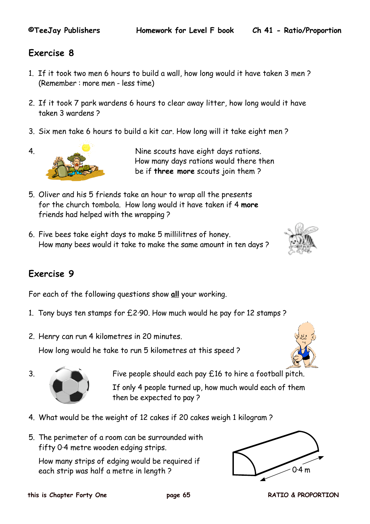## **Exercise 8**

- 1. If it took two men 6 hours to build a wall, how long would it have taken 3 men ? (Remember : more men - less time)
- 2. If it took 7 park wardens 6 hours to clear away litter, how long would it have taken 3 wardens ?
- 3. Six men take 6 hours to build a kit car. How long will it take eight men ?



4. Nine scouts have eight days rations. How many days rations would there then be if **three more** scouts join them ?

- 5. Oliver and his 5 friends take an hour to wrap all the presents for the church tombola. How long would it have taken if 4 **more** friends had helped with the wrapping ?
- 6. Five bees take eight days to make 5 millilitres of honey. How many bees would it take to make the same amount in ten days ?



# **Exercise 9**

For each of the following questions show **all** your working.

- 1. Tony buys ten stamps for £2·90. How much would he pay for 12 stamps ?
- 2. Henry can run 4 kilometres in 20 minutes.

How long would he take to run 5 kilometres at this speed ?



3. Five people should each pay £16 to hire a football pitch. If only 4 people turned up, how much would each of them then be expected to pay ?

- 4. What would be the weight of 12 cakes if 20 cakes weigh 1 kilogram ?
- 5. The perimeter of a room can be surrounded with fifty 0·4 metre wooden edging strips.

How many strips of edging would be required if each strip was half a metre in length ? 0.4 m